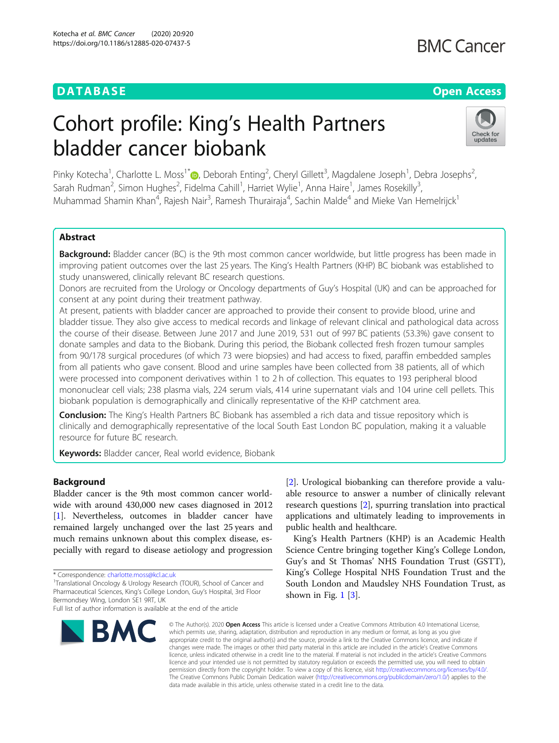# **DATABASE CONTABILITY CONTABILITY CONTABILITY CONTABILITY CONTABILITY CONTABILITY CONTABILITY CONTABILITY CONTABILITY CONTABILITY CONTABILITY CONTABILITY CONTABILITY CONTABILITY CONTABILITY CONTABILITY CONTABILITY CONTAB**

# **BMC Cancer**

# Cohort profile: King's Health Partners bladder cancer biobank



Pinky Kotecha<sup>1</sup>[,](http://orcid.org/0000-0002-4354-8987) Charlotte L. Moss<sup>1\*</sup>®, Deborah Enting<sup>2</sup>, Cheryl Gillett<sup>3</sup>, Magdalene Joseph<sup>1</sup>, Debra Josephs<sup>2</sup> , Sarah Rudman<sup>2</sup>, Simon Hughes<sup>2</sup>, Fidelma Cahill<sup>1</sup>, Harriet Wylie<sup>1</sup>, Anna Haire<sup>1</sup>, James Rosekilly<sup>3</sup> , Muhammad Shamin Khan<sup>4</sup>, Rajesh Nair<sup>3</sup>, Ramesh Thurairaja<sup>4</sup>, Sachin Malde<sup>4</sup> and Mieke Van Hemelrijck<sup>1</sup>

# Abstract

**Background:** Bladder cancer (BC) is the 9th most common cancer worldwide, but little progress has been made in improving patient outcomes over the last 25 years. The King's Health Partners (KHP) BC biobank was established to study unanswered, clinically relevant BC research questions.

Donors are recruited from the Urology or Oncology departments of Guy's Hospital (UK) and can be approached for consent at any point during their treatment pathway.

At present, patients with bladder cancer are approached to provide their consent to provide blood, urine and bladder tissue. They also give access to medical records and linkage of relevant clinical and pathological data across the course of their disease. Between June 2017 and June 2019, 531 out of 997 BC patients (53.3%) gave consent to donate samples and data to the Biobank. During this period, the Biobank collected fresh frozen tumour samples from 90/178 surgical procedures (of which 73 were biopsies) and had access to fixed, paraffin embedded samples from all patients who gave consent. Blood and urine samples have been collected from 38 patients, all of which were processed into component derivatives within 1 to 2 h of collection. This equates to 193 peripheral blood mononuclear cell vials; 238 plasma vials, 224 serum vials, 414 urine supernatant vials and 104 urine cell pellets. This biobank population is demographically and clinically representative of the KHP catchment area.

**Conclusion:** The King's Health Partners BC Biobank has assembled a rich data and tissue repository which is clinically and demographically representative of the local South East London BC population, making it a valuable resource for future BC research.

Keywords: Bladder cancer, Real world evidence, Biobank

# Background

Bladder cancer is the 9th most common cancer worldwide with around 430,000 new cases diagnosed in 2012 [[1\]](#page-7-0). Nevertheless, outcomes in bladder cancer have remained largely unchanged over the last 25 years and much remains unknown about this complex disease, especially with regard to disease aetiology and progression

\* Correspondence: [charlotte.moss@kcl.ac.uk](mailto:charlotte.moss@kcl.ac.uk)<br><sup>1</sup>Translational Oncology & Urology Research (TOUR), School of Cancer and Pharmaceutical Sciences, King's College London, Guy's Hospital, 3rd Floor Bermondsey Wing, London SE1 9RT, UK

Full list of author information is available at the end of the article



[[2\]](#page-7-0). Urological biobanking can therefore provide a valuable resource to answer a number of clinically relevant research questions [[2\]](#page-7-0), spurring translation into practical applications and ultimately leading to improvements in public health and healthcare.

King's Health Partners (KHP) is an Academic Health Science Centre bringing together King's College London, Guy's and St Thomas' NHS Foundation Trust (GSTT), King's College Hospital NHS Foundation Trust and the South London and Maudsley NHS Foundation Trust, as shown in Fig. [1](#page-1-0) [[3](#page-7-0)].

© The Author(s), 2020 **Open Access** This article is licensed under a Creative Commons Attribution 4.0 International License, which permits use, sharing, adaptation, distribution and reproduction in any medium or format, as long as you give appropriate credit to the original author(s) and the source, provide a link to the Creative Commons licence, and indicate if changes were made. The images or other third party material in this article are included in the article's Creative Commons licence, unless indicated otherwise in a credit line to the material. If material is not included in the article's Creative Commons licence and your intended use is not permitted by statutory regulation or exceeds the permitted use, you will need to obtain permission directly from the copyright holder. To view a copy of this licence, visit [http://creativecommons.org/licenses/by/4.0/.](http://creativecommons.org/licenses/by/4.0/) The Creative Commons Public Domain Dedication waiver [\(http://creativecommons.org/publicdomain/zero/1.0/](http://creativecommons.org/publicdomain/zero/1.0/)) applies to the data made available in this article, unless otherwise stated in a credit line to the data.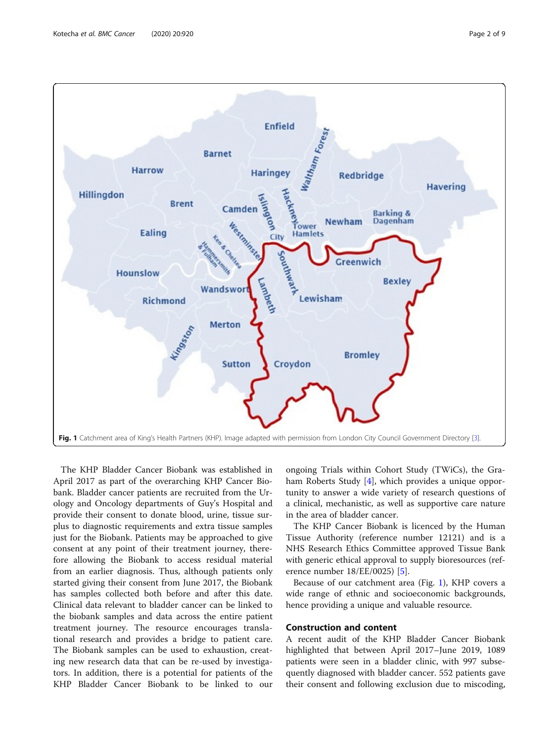<span id="page-1-0"></span>

The KHP Bladder Cancer Biobank was established in April 2017 as part of the overarching KHP Cancer Biobank. Bladder cancer patients are recruited from the Urology and Oncology departments of Guy's Hospital and provide their consent to donate blood, urine, tissue surplus to diagnostic requirements and extra tissue samples just for the Biobank. Patients may be approached to give consent at any point of their treatment journey, therefore allowing the Biobank to access residual material from an earlier diagnosis. Thus, although patients only started giving their consent from June 2017, the Biobank has samples collected both before and after this date. Clinical data relevant to bladder cancer can be linked to the biobank samples and data across the entire patient treatment journey. The resource encourages translational research and provides a bridge to patient care. The Biobank samples can be used to exhaustion, creating new research data that can be re-used by investigators. In addition, there is a potential for patients of the KHP Bladder Cancer Biobank to be linked to our

ongoing Trials within Cohort Study (TWiCs), the Graham Roberts Study [[4\]](#page-7-0), which provides a unique opportunity to answer a wide variety of research questions of a clinical, mechanistic, as well as supportive care nature in the area of bladder cancer.

The KHP Cancer Biobank is licenced by the Human Tissue Authority (reference number 12121) and is a NHS Research Ethics Committee approved Tissue Bank with generic ethical approval to supply bioresources (reference number 18/EE/0025) [\[5](#page-7-0)].

Because of our catchment area (Fig. 1), KHP covers a wide range of ethnic and socioeconomic backgrounds, hence providing a unique and valuable resource.

#### Construction and content

A recent audit of the KHP Bladder Cancer Biobank highlighted that between April 2017–June 2019, 1089 patients were seen in a bladder clinic, with 997 subsequently diagnosed with bladder cancer. 552 patients gave their consent and following exclusion due to miscoding,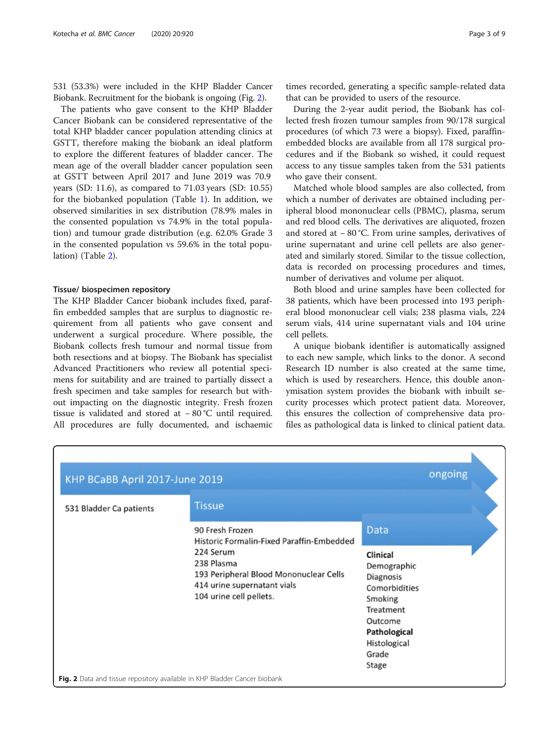531 (53.3%) were included in the KHP Bladder Cancer Biobank. Recruitment for the biobank is ongoing (Fig. 2).

The patients who gave consent to the KHP Bladder Cancer Biobank can be considered representative of the total KHP bladder cancer population attending clinics at GSTT, therefore making the biobank an ideal platform to explore the different features of bladder cancer. The mean age of the overall bladder cancer population seen at GSTT between April 2017 and June 2019 was 70.9 years (SD: 11.6), as compared to 71.03 years (SD: 10.55) for the biobanked population (Table [1\)](#page-3-0). In addition, we observed similarities in sex distribution (78.9% males in the consented population vs 74.9% in the total population) and tumour grade distribution (e.g. 62.0% Grade 3 in the consented population vs 59.6% in the total population) (Table [2](#page-4-0)).

#### Tissue/ biospecimen repository

The KHP Bladder Cancer biobank includes fixed, paraffin embedded samples that are surplus to diagnostic requirement from all patients who gave consent and underwent a surgical procedure. Where possible, the Biobank collects fresh tumour and normal tissue from both resections and at biopsy. The Biobank has specialist Advanced Practitioners who review all potential specimens for suitability and are trained to partially dissect a fresh specimen and take samples for research but without impacting on the diagnostic integrity. Fresh frozen tissue is validated and stored at − 80 °C until required. All procedures are fully documented, and ischaemic

times recorded, generating a specific sample-related data that can be provided to users of the resource.

During the 2-year audit period, the Biobank has collected fresh frozen tumour samples from 90/178 surgical procedures (of which 73 were a biopsy). Fixed, paraffinembedded blocks are available from all 178 surgical procedures and if the Biobank so wished, it could request access to any tissue samples taken from the 531 patients who gave their consent.

Matched whole blood samples are also collected, from which a number of derivates are obtained including peripheral blood mononuclear cells (PBMC), plasma, serum and red blood cells. The derivatives are aliquoted, frozen and stored at − 80 °C. From urine samples, derivatives of urine supernatant and urine cell pellets are also generated and similarly stored. Similar to the tissue collection, data is recorded on processing procedures and times, number of derivatives and volume per aliquot.

Both blood and urine samples have been collected for 38 patients, which have been processed into 193 peripheral blood mononuclear cell vials; 238 plasma vials, 224 serum vials, 414 urine supernatant vials and 104 urine cell pellets.

A unique biobank identifier is automatically assigned to each new sample, which links to the donor. A second Research ID number is also created at the same time, which is used by researchers. Hence, this double anonymisation system provides the biobank with inbuilt security processes which protect patient data. Moreover, this ensures the collection of comprehensive data profiles as pathological data is linked to clinical patient data.

| KHP BCaBB April 2017-June 2019                                            |                                                                                                                                                                                             |                                                                                                                                                           | ongoing |
|---------------------------------------------------------------------------|---------------------------------------------------------------------------------------------------------------------------------------------------------------------------------------------|-----------------------------------------------------------------------------------------------------------------------------------------------------------|---------|
| 531 Bladder Ca patients                                                   | <b>Tissue</b>                                                                                                                                                                               |                                                                                                                                                           |         |
|                                                                           | 90 Fresh Frozen<br>Historic Formalin-Fixed Paraffin-Embedded<br>224 Serum<br>238 Plasma<br>193 Peripheral Blood Mononuclear Cells<br>414 urine supernatant vials<br>104 urine cell pellets. | Data<br><b>Clinical</b><br>Demographic<br>Diagnosis<br>Comorbidities<br>Smoking<br>Treatment<br>Outcome<br>Pathological<br>Histological<br>Grade<br>Stage |         |
| Fig. 2 Data and tissue repository available in KHP Bladder Cancer biobank |                                                                                                                                                                                             |                                                                                                                                                           |         |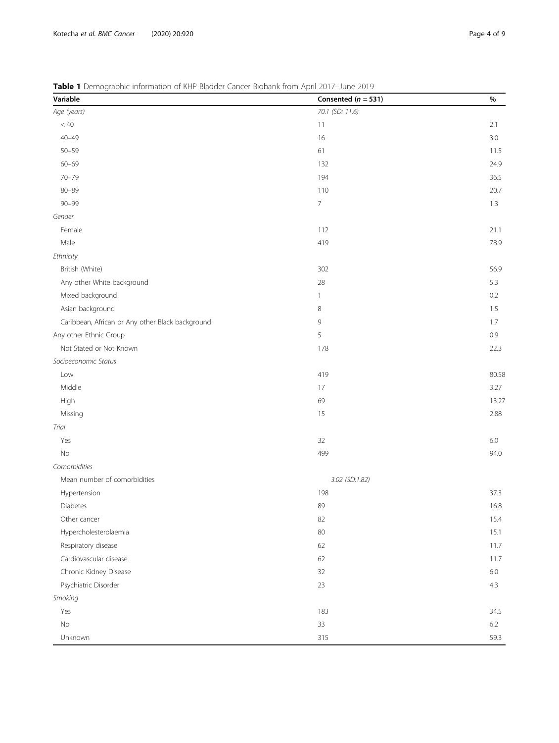<span id="page-3-0"></span>Table 1 Demographic information of KHP Bladder Cancer Biobank from April 2017-June 2019

| Variable                                         | Consented ( $n = 531$ ) | $\%$    |
|--------------------------------------------------|-------------------------|---------|
| Age (years)                                      | 70.1 (SD: 11.6)         |         |
| < 40                                             | 11                      | 2.1     |
| $40 - 49$                                        | 16                      | 3.0     |
| $50 - 59$                                        | 61                      | 11.5    |
| $60 - 69$                                        | 132                     | 24.9    |
| $70 - 79$                                        | 194                     | 36.5    |
| $80 - 89$                                        | 110                     | 20.7    |
| $90 - 99$                                        | $\overline{7}$          | 1.3     |
| Gender                                           |                         |         |
| Female                                           | 112                     | 21.1    |
| Male                                             | 419                     | 78.9    |
| Ethnicity                                        |                         |         |
| British (White)                                  | 302                     | 56.9    |
| Any other White background                       | 28                      | 5.3     |
| Mixed background                                 | $\mathbf{1}$            | 0.2     |
| Asian background                                 | 8                       | 1.5     |
| Caribbean, African or Any other Black background | 9                       | 1.7     |
| Any other Ethnic Group                           | 5                       | 0.9     |
| Not Stated or Not Known                          | 178                     | 22.3    |
| Socioeconomic Status                             |                         |         |
| Low                                              | 419                     | 80.58   |
| Middle                                           | 17                      | 3.27    |
| High                                             | 69                      | 13.27   |
| Missing                                          | 15                      | 2.88    |
| Trial                                            |                         |         |
| Yes                                              | 32                      | 6.0     |
| No                                               | 499                     | 94.0    |
| Comorbidities                                    |                         |         |
| Mean number of comorbidities                     | 3.02 (SD:1.82)          |         |
| Hypertension                                     | 198                     | 37.3    |
| Diabetes                                         | 89                      | 16.8    |
| Other cancer                                     | 82                      | 15.4    |
| Hypercholesterolaemia                            | 80                      | 15.1    |
| Respiratory disease                              | 62                      | 11.7    |
| Cardiovascular disease                           | 62                      | 11.7    |
| Chronic Kidney Disease                           | 32                      | $6.0\,$ |
| Psychiatric Disorder                             | 23                      | 4.3     |
| Smoking                                          |                         |         |
| Yes                                              | 183                     | 34.5    |
| No                                               | 33                      | 6.2     |
| Unknown                                          | 315                     | 59.3    |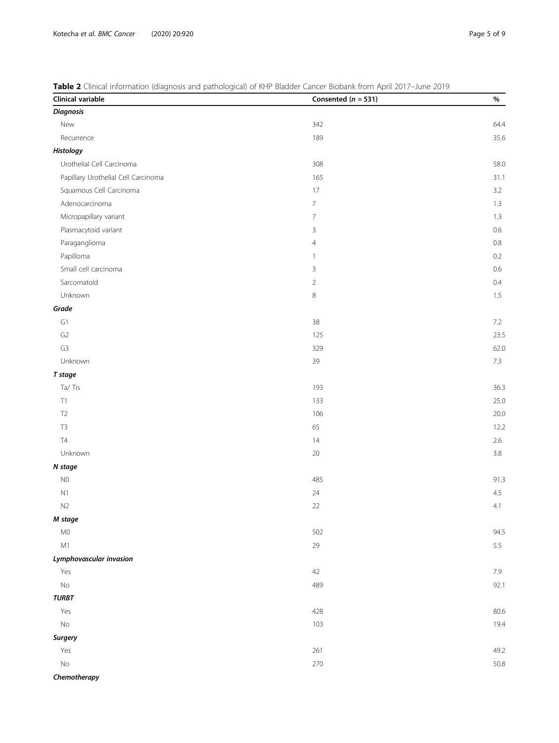# <span id="page-4-0"></span>Table 2 Clinical information (diagnosis and pathological) of KHP Bladder Cancer Biobank from April 2017-June 2019

| Clinical variable                   | Consented ( $n = 531$ ) | $\%$    |
|-------------------------------------|-------------------------|---------|
| <b>Diagnosis</b>                    |                         |         |
| New                                 | 342                     | 64.4    |
| Recurrence                          | 189                     | 35.6    |
| Histology                           |                         |         |
| Urothelial Cell Carcinoma           | 308                     | 58.0    |
| Papillary Urothelial Cell Carcinoma | 165                     | 31.1    |
| Squamous Cell Carcinoma             | $17\,$                  | 3.2     |
| Adenocarcinoma                      | $\overline{7}$          | $1.3\,$ |
| Micropapillary variant              | $\overline{7}$          | $1.3\,$ |
| Plasmacytoid variant                | $\mathsf 3$             | $0.6\,$ |
| Paraganglioma                       | $\overline{4}$          | $0.8\,$ |
| Papilloma                           | 1                       | $0.2\,$ |
| Small cell carcinoma                | 3                       | $0.6\,$ |
| Sarcomatoid                         | $\sqrt{2}$              | $0.4\,$ |
| Unknown                             | $\,8\,$                 | $1.5\,$ |
| Grade                               |                         |         |
| ${\mathsf G}1$                      | $38\,$                  | $7.2\,$ |
| G <sub>2</sub>                      | 125                     | 23.5    |
| G <sub>3</sub>                      | 329                     | 62.0    |
| Unknown                             | 39                      | $7.3\,$ |
| T stage                             |                         |         |
| Ta/Tis                              | 193                     | 36.3    |
| $\top 1$                            | 133                     | 25.0    |
| $\mathsf{T2}$                       | 106                     | 20.0    |
| T <sub>3</sub>                      | 65                      | 12.2    |
| $\mathsf{T}4$                       | 14                      | $2.6\,$ |
| Unknown                             | 20                      | $3.8\,$ |
| N stage                             |                         |         |
| ${\sf N0}$                          | 485                     | 91.3    |
| N1                                  | 24                      | 4.5     |
| N2                                  | $22\,$                  | 4.1     |
| M stage                             |                         |         |
| M <sub>0</sub>                      | 502                     | 94.5    |
| M1                                  | 29                      | 5.5     |
| Lymphovascular invasion             |                         |         |
| Yes                                 | 42                      | $7.9\,$ |
| $\rm No$                            | 489                     | 92.1    |
| <b>TURBT</b>                        |                         |         |
| Yes                                 | 428                     | 80.6    |
| $\rm No$                            | 103                     | 19.4    |
| <b>Surgery</b>                      |                         |         |
| Yes                                 | 261                     | 49.2    |
| $\rm No$                            | 270                     | 50.8    |
| Chemotherapy                        |                         |         |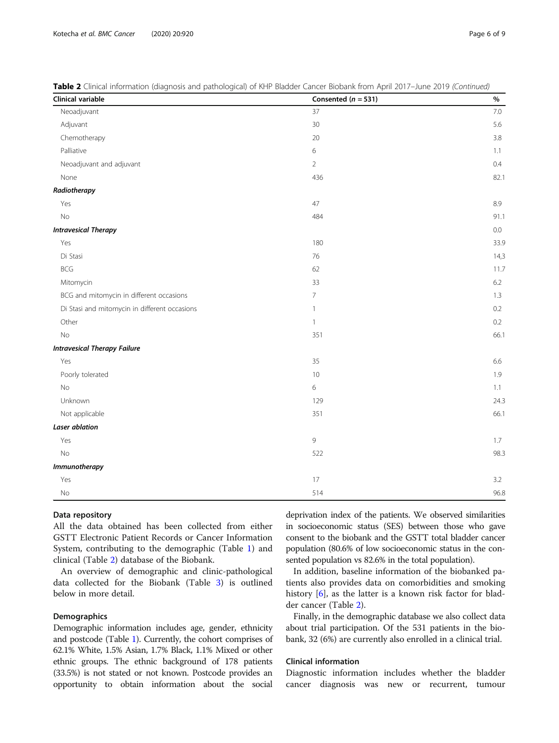|  | Table 2 Clinical information (diagnosis and pathological) of KHP Bladder Cancer Biobank from April 2017-June 2019 (Continued, |  |
|--|-------------------------------------------------------------------------------------------------------------------------------|--|
|--|-------------------------------------------------------------------------------------------------------------------------------|--|

| Clinical variable                             | Consented ( $n = 531$ ) | $\%$    |
|-----------------------------------------------|-------------------------|---------|
| Neoadjuvant                                   | 37                      | 7.0     |
| Adjuvant                                      | 30                      | 5.6     |
| Chemotherapy                                  | $20\,$                  | 3.8     |
| Palliative                                    | 6                       | 1.1     |
| Neoadjuvant and adjuvant                      | $\overline{2}$          | 0.4     |
| None                                          | 436                     | 82.1    |
| Radiotherapy                                  |                         |         |
| Yes                                           | 47                      | 8.9     |
| No                                            | 484                     | 91.1    |
| <b>Intravesical Therapy</b>                   |                         | $0.0\,$ |
| Yes                                           | 180                     | 33.9    |
| Di Stasi                                      | $76\,$                  | 14,3    |
| <b>BCG</b>                                    | 62                      | 11.7    |
| Mitomycin                                     | 33                      | 6.2     |
| BCG and mitomycin in different occasions      | $\overline{7}$          | 1.3     |
| Di Stasi and mitomycin in different occasions | $\mathbf{1}$            | 0.2     |
| Other                                         | $\mathbf{1}$            | 0.2     |
| <b>No</b>                                     | 351                     | 66.1    |
| <b>Intravesical Therapy Failure</b>           |                         |         |
| Yes                                           | 35                      | 6.6     |
| Poorly tolerated                              | 10                      | 1.9     |
| $\rm No$                                      | 6                       | 1.1     |
| Unknown                                       | 129                     | 24.3    |
| Not applicable                                | 351                     | 66.1    |
| <b>Laser ablation</b>                         |                         |         |
| Yes                                           | 9                       | 1.7     |
| $\rm No$                                      | 522                     | 98.3    |
| <b>Immunotherapy</b>                          |                         |         |
| Yes                                           | 17                      | 3.2     |
| No                                            | 514                     | 96.8    |

#### Data repository

All the data obtained has been collected from either GSTT Electronic Patient Records or Cancer Information System, contributing to the demographic (Table [1](#page-3-0)) and clinical (Table [2\)](#page-4-0) database of the Biobank.

An overview of demographic and clinic-pathological data collected for the Biobank (Table [3](#page-6-0)) is outlined below in more detail.

#### **Demographics**

Demographic information includes age, gender, ethnicity and postcode (Table [1](#page-3-0)). Currently, the cohort comprises of 62.1% White, 1.5% Asian, 1.7% Black, 1.1% Mixed or other ethnic groups. The ethnic background of 178 patients (33.5%) is not stated or not known. Postcode provides an opportunity to obtain information about the social deprivation index of the patients. We observed similarities in socioeconomic status (SES) between those who gave consent to the biobank and the GSTT total bladder cancer population (80.6% of low socioeconomic status in the consented population vs 82.6% in the total population).

In addition, baseline information of the biobanked patients also provides data on comorbidities and smoking history [[6\]](#page-7-0), as the latter is a known risk factor for bladder cancer (Table [2\)](#page-4-0).

Finally, in the demographic database we also collect data about trial participation. Of the 531 patients in the biobank, 32 (6%) are currently also enrolled in a clinical trial.

# Clinical information

Diagnostic information includes whether the bladder cancer diagnosis was new or recurrent, tumour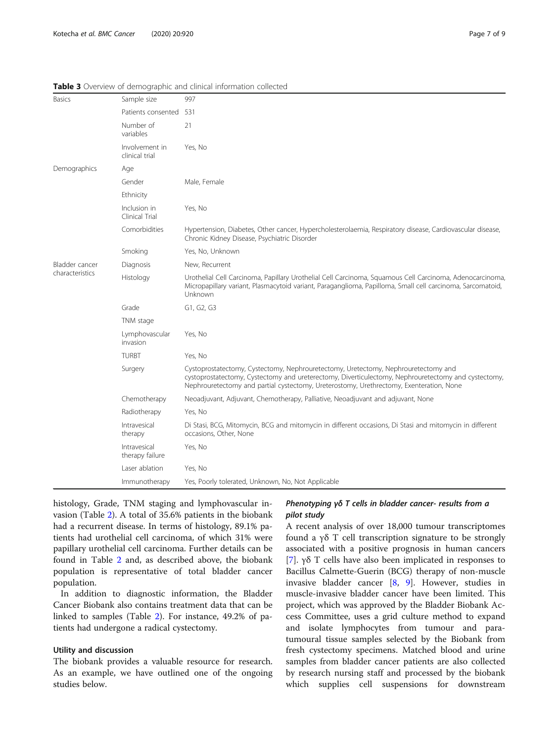| <b>Basics</b>                     | Sample size                      | 997                                                                                                                                                                                                                                                                                  |
|-----------------------------------|----------------------------------|--------------------------------------------------------------------------------------------------------------------------------------------------------------------------------------------------------------------------------------------------------------------------------------|
|                                   | Patients consented 531           |                                                                                                                                                                                                                                                                                      |
|                                   | Number of<br>variables           | 21                                                                                                                                                                                                                                                                                   |
|                                   | Involvement in<br>clinical trial | Yes, No                                                                                                                                                                                                                                                                              |
| Demographics                      | Age                              |                                                                                                                                                                                                                                                                                      |
|                                   | Gender                           | Male, Female                                                                                                                                                                                                                                                                         |
|                                   | Ethnicity                        |                                                                                                                                                                                                                                                                                      |
|                                   | Inclusion in<br>Clinical Trial   | Yes, No                                                                                                                                                                                                                                                                              |
|                                   | Comorbidities                    | Hypertension, Diabetes, Other cancer, Hypercholesterolaemia, Respiratory disease, Cardiovascular disease,<br>Chronic Kidney Disease, Psychiatric Disorder                                                                                                                            |
|                                   | Smoking                          | Yes, No, Unknown                                                                                                                                                                                                                                                                     |
| Bladder cancer<br>characteristics | Diagnosis                        | New, Recurrent                                                                                                                                                                                                                                                                       |
|                                   | Histology                        | Urothelial Cell Carcinoma, Papillary Urothelial Cell Carcinoma, Squamous Cell Carcinoma, Adenocarcinoma,<br>Micropapillary variant, Plasmacytoid variant, Paraganglioma, Papilloma, Small cell carcinoma, Sarcomatoid,<br>Unknown                                                    |
|                                   | Grade                            | G1, G2, G3                                                                                                                                                                                                                                                                           |
|                                   | TNM stage                        |                                                                                                                                                                                                                                                                                      |
|                                   | Lymphovascular<br>invasion       | Yes, No                                                                                                                                                                                                                                                                              |
|                                   | <b>TURBT</b>                     | Yes, No                                                                                                                                                                                                                                                                              |
|                                   | Surgery                          | Cystoprostatectomy, Cystectomy, Nephrouretectomy, Uretectomy, Nephrouretectomy and<br>cystoprostatectomy, Cystectomy and ureterectomy, Diverticulectomy, Nephrouretectomy and cystectomy,<br>Nephrouretectomy and partial cystectomy, Ureterostomy, Urethrectomy, Exenteration, None |
|                                   | Chemotherapy                     | Neoadjuvant, Adjuvant, Chemotherapy, Palliative, Neoadjuvant and adjuvant, None                                                                                                                                                                                                      |
|                                   | Radiotherapy                     | Yes, No                                                                                                                                                                                                                                                                              |
|                                   | Intravesical<br>therapy          | Di Stasi, BCG, Mitomycin, BCG and mitomycin in different occasions, Di Stasi and mitomycin in different<br>occasions, Other, None                                                                                                                                                    |
|                                   | Intravesical<br>therapy failure  | Yes, No                                                                                                                                                                                                                                                                              |
|                                   | Laser ablation                   | Yes, No                                                                                                                                                                                                                                                                              |
|                                   | Immunotherapy                    | Yes, Poorly tolerated, Unknown, No, Not Applicable                                                                                                                                                                                                                                   |

<span id="page-6-0"></span>Table 3 Overview of demographic and clinical information collected

histology, Grade, TNM staging and lymphovascular invasion (Table [2](#page-4-0)). A total of 35.6% patients in the biobank had a recurrent disease. In terms of histology, 89.1% patients had urothelial cell carcinoma, of which 31% were papillary urothelial cell carcinoma. Further details can be found in Table [2](#page-4-0) and, as described above, the biobank population is representative of total bladder cancer population.

In addition to diagnostic information, the Bladder Cancer Biobank also contains treatment data that can be linked to samples (Table [2](#page-4-0)). For instance, 49.2% of patients had undergone a radical cystectomy.

#### Utility and discussion

The biobank provides a valuable resource for research. As an example, we have outlined one of the ongoing studies below.

# Phenotyping γδ T cells in bladder cancer- results from a pilot study

A recent analysis of over 18,000 tumour transcriptomes found a γδ T cell transcription signature to be strongly associated with a positive prognosis in human cancers [[7\]](#page-7-0). γδ T cells have also been implicated in responses to Bacillus Calmette-Guerin (BCG) therapy of non-muscle invasive bladder cancer [\[8](#page-7-0), [9](#page-8-0)]. However, studies in muscle-invasive bladder cancer have been limited. This project, which was approved by the Bladder Biobank Access Committee, uses a grid culture method to expand and isolate lymphocytes from tumour and paratumoural tissue samples selected by the Biobank from fresh cystectomy specimens. Matched blood and urine samples from bladder cancer patients are also collected by research nursing staff and processed by the biobank which supplies cell suspensions for downstream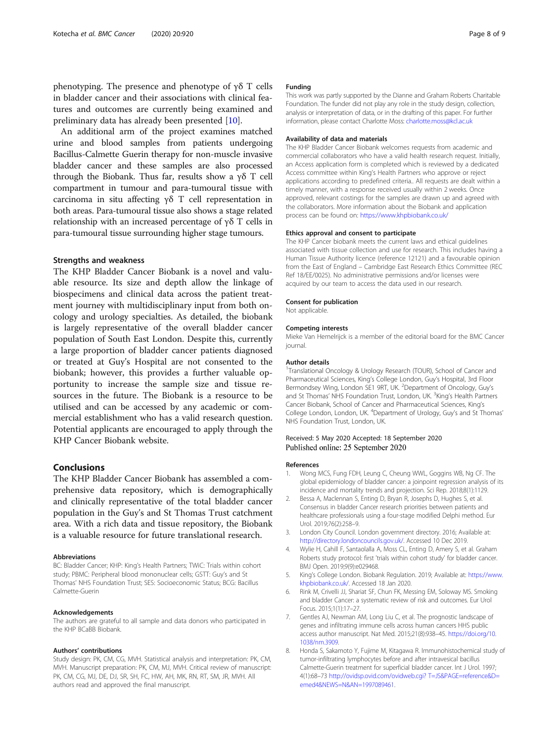<span id="page-7-0"></span>phenotyping. The presence and phenotype of γδ T cells in bladder cancer and their associations with clinical features and outcomes are currently being examined and preliminary data has already been presented [\[10](#page-8-0)].

An additional arm of the project examines matched urine and blood samples from patients undergoing Bacillus-Calmette Guerin therapy for non-muscle invasive bladder cancer and these samples are also processed through the Biobank. Thus far, results show a γδ T cell compartment in tumour and para-tumoural tissue with carcinoma in situ affecting γδ T cell representation in both areas. Para-tumoural tissue also shows a stage related relationship with an increased percentage of γδ T cells in para-tumoural tissue surrounding higher stage tumours.

### Strengths and weakness

The KHP Bladder Cancer Biobank is a novel and valuable resource. Its size and depth allow the linkage of biospecimens and clinical data across the patient treatment journey with multidisciplinary input from both oncology and urology specialties. As detailed, the biobank is largely representative of the overall bladder cancer population of South East London. Despite this, currently a large proportion of bladder cancer patients diagnosed or treated at Guy's Hospital are not consented to the biobank; however, this provides a further valuable opportunity to increase the sample size and tissue resources in the future. The Biobank is a resource to be utilised and can be accessed by any academic or commercial establishment who has a valid research question. Potential applicants are encouraged to apply through the KHP Cancer Biobank website.

### Conclusions

The KHP Bladder Cancer Biobank has assembled a comprehensive data repository, which is demographically and clinically representative of the total bladder cancer population in the Guy's and St Thomas Trust catchment area. With a rich data and tissue repository, the Biobank is a valuable resource for future translational research.

#### Abbreviations

BC: Bladder Cancer; KHP: King's Health Partners; TWiC: Trials within cohort study; PBMC: Peripheral blood mononuclear cells; GSTT: Guy's and St Thomas' NHS Foundation Trust; SES: Socioeconomic Status; BCG: Bacillus Calmette-Guerin

#### Acknowledgements

The authors are grateful to all sample and data donors who participated in the KHP BCaBB Biobank.

#### Authors' contributions

Study design: PK, CM, CG, MVH. Statistical analysis and interpretation: PK, CM, MVH. Manuscript preparation: PK, CM, MJ, MVH. Critical review of manuscript: PK, CM, CG, MJ, DE, DJ, SR, SH, FC, HW, AH, MK, RN, RT, SM, JR, MVH. All authors read and approved the final manuscript.

#### Funding

This work was partly supported by the Dianne and Graham Roberts Charitable Foundation. The funder did not play any role in the study design, collection, analysis or interpretation of data, or in the drafting of this paper. For further information, please contact Charlotte Moss: [charlotte.moss@kcl.ac.uk](mailto:charlotte.moss@kcl.ac.uk)

#### Availability of data and materials

The KHP Bladder Cancer Biobank welcomes requests from academic and commercial collaborators who have a valid health research request. Initially, an Access application form is completed which is reviewed by a dedicated Access committee within King's Health Partners who approve or reject applications according to predefined criteria.. All requests are dealt within a timely manner, with a response received usually within 2 weeks. Once approved, relevant costings for the samples are drawn up and agreed with the collaborators. More information about the Biobank and application process can be found on: <https://www.khpbiobank.co.uk/>

#### Ethics approval and consent to participate

The KHP Cancer biobank meets the current laws and ethical guidelines associated with tissue collection and use for research. This includes having a Human Tissue Authority licence (reference 12121) and a favourable opinion from the East of England – Cambridge East Research Ethics Committee (REC Ref 18/EE/0025). No administrative permissions and/or licenses were acquired by our team to access the data used in our research.

#### Consent for publication

Not applicable.

#### Competing interests

Mieke Van Hemelrijck is a member of the editorial board for the BMC Cancer journal.

#### Author details

<sup>1</sup>Translational Oncology & Urology Research (TOUR), School of Cancer and Pharmaceutical Sciences, King's College London, Guy's Hospital, 3rd Floor Bermondsey Wing, London SE1 9RT, UK. <sup>2</sup>Department of Oncology, Guy's and St Thomas' NHS Foundation Trust, London, UK. <sup>3</sup>King's Health Partners Cancer Biobank, School of Cancer and Pharmaceutical Sciences, King's College London, London, UK. <sup>4</sup> Department of Urology, Guy's and St Thomas' NHS Foundation Trust, London, UK.

#### Received: 5 May 2020 Accepted: 18 September 2020 Published online: 25 September 2020

#### References

- Wong MCS, Fung FDH, Leung C, Cheung WWL, Goggins WB, Ng CF. The global epidemiology of bladder cancer: a joinpoint regression analysis of its incidence and mortality trends and projection. Sci Rep. 2018;8(1):1129.
- 2. Bessa A, Maclennan S, Enting D, Bryan R, Josephs D, Hughes S, et al. Consensus in bladder Cancer research priorities between patients and healthcare professionals using a four-stage modified Delphi method. Eur Urol. 2019;76(2):258–9.
- 3. London City Council. London government directory. 2016; Available at: [http://directory.londoncouncils.gov.uk/.](http://directory.londoncouncils.gov.uk/) Accessed 10 Dec 2019.
- 4. Wylie H, Cahill F, Santaolalla A, Moss CL, Enting D, Amery S, et al. Graham Roberts study protocol: first 'trials within cohort study' for bladder cancer. BMJ Open. 2019;9(9):e029468.
- 5. King's College London. Biobank Regulation. 2019; Available at: [https://www.](https://www.khpbiobank.co.uk/) [khpbiobank.co.uk/.](https://www.khpbiobank.co.uk/) Accessed 18 Jan 2020.
- 6. Rink M, Crivelli JJ, Shariat SF, Chun FK, Messing EM, Soloway MS. Smoking and bladder Cancer: a systematic review of risk and outcomes. Eur Urol Focus. 2015;1(1):17–27.
- 7. Gentles AJ, Newman AM, Long Liu C, et al. The prognostic landscape of genes and infiltrating immune cells across human cancers HHS public access author manuscript. Nat Med. 2015;21(8):938–45. [https://doi.org/10.](https://doi.org/10.1038/nm.3909) [1038/nm.3909](https://doi.org/10.1038/nm.3909).
- 8. Honda S, Sakamoto Y, Fujime M, Kitagawa R. Immunohistochemical study of tumor-infiltrating lymphocytes before and after intravesical bacillus Calmette-Guerin treatment for superficial bladder cancer. Int J Urol. 1997; 4(1):68–73 [http://ovidsp.ovid.com/ovidweb.cgi? T=JS&PAGE=reference&D=](http://ovidsp.ovid.com/ovidweb.cgi?%20T=JS&PAGE=reference&D=emed4&NEWS=N&AN=1997089461) [emed4&NEWS=N&AN=1997089461](http://ovidsp.ovid.com/ovidweb.cgi?%20T=JS&PAGE=reference&D=emed4&NEWS=N&AN=1997089461).